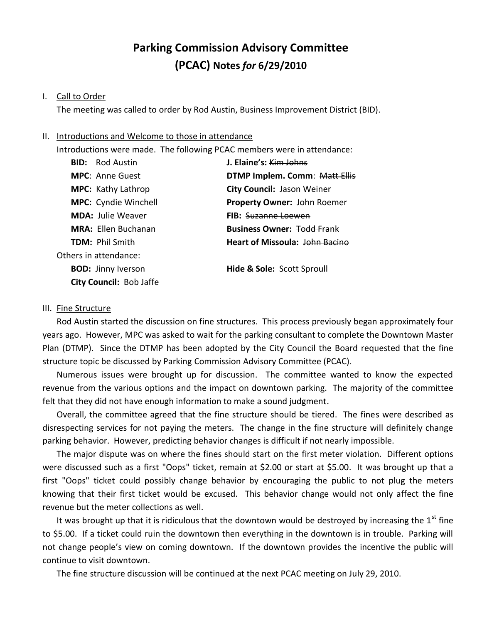# **Parking Commission Advisory Committee (PCAC) Notes** *for* **6/29/2010**

#### I. Call to Order

The meeting was called to order by Rod Austin, Business Improvement District (BID).

### II. Introductions and Welcome to those in attendance

Introductions were made. The following PCAC members were in attendance:

| <b>BID:</b> Rod Austin      | J. Elaine's: Kim Johns                |
|-----------------------------|---------------------------------------|
| <b>MPC:</b> Anne Guest      | <b>DTMP Implem. Comm: Matt Ellis</b>  |
| <b>MPC:</b> Kathy Lathrop   | City Council: Jason Weiner            |
| <b>MPC:</b> Cyndie Winchell | Property Owner: John Roemer           |
| <b>MDA: Julie Weaver</b>    | <b>FIB:</b> Suzanne Loewen            |
| <b>MRA: Ellen Buchanan</b>  | <b>Business Owner: Todd Frank</b>     |
| <b>TDM: Phil Smith</b>      | <b>Heart of Missoula: John Bacino</b> |
| Others in attendance:       |                                       |
| <b>BOD: Jinny Iverson</b>   | <b>Hide &amp; Sole: Scott Sproull</b> |
| City Council: Bob Jaffe     |                                       |
|                             |                                       |

### III. Fine Structure

Rod Austin started the discussion on fine structures. This process previously began approximately four years ago. However, MPC was asked to wait for the parking consultant to complete the Downtown Master Plan (DTMP). Since the DTMP has been adopted by the City Council the Board requested that the fine structure topic be discussed by Parking Commission Advisory Committee (PCAC).

Numerous issues were brought up for discussion. The committee wanted to know the expected revenue from the various options and the impact on downtown parking. The majority of the committee felt that they did not have enough information to make a sound judgment.

Overall, the committee agreed that the fine structure should be tiered. The fines were described as disrespecting services for not paying the meters. The change in the fine structure will definitely change parking behavior. However, predicting behavior changes is difficult if not nearly impossible.

The major dispute was on where the fines should start on the first meter violation. Different options were discussed such as a first "Oops" ticket, remain at \$2.00 or start at \$5.00. It was brought up that a first "Oops" ticket could possibly change behavior by encouraging the public to not plug the meters knowing that their first ticket would be excused. This behavior change would not only affect the fine revenue but the meter collections as well.

It was brought up that it is ridiculous that the downtown would be destroyed by increasing the  $1<sup>st</sup>$  fine to \$5.00. If a ticket could ruin the downtown then everything in the downtown is in trouble. Parking will not change people's view on coming downtown. If the downtown provides the incentive the public will continue to visit downtown.

The fine structure discussion will be continued at the next PCAC meeting on July 29, 2010.